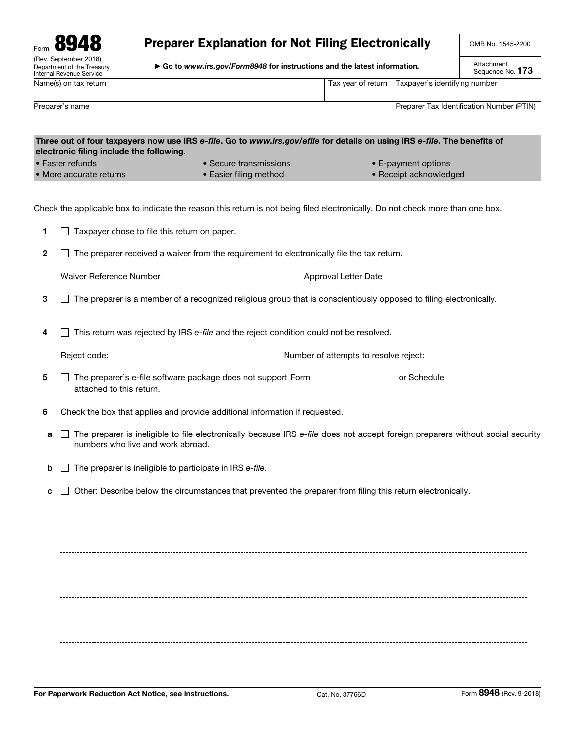| Form                                                                            |
|---------------------------------------------------------------------------------|
| (Rev. September 2018)<br>Department of the Treasury<br>Internal Revenue Service |
| Name(s) on tax return                                                           |

# Preparer Explanation for Not Filing Electronically

▶ Go to *www.irs.gov/Form8948* for instructions and the latest information*.*

Attachment<br>Sequence No. **173** 

|              | Internal Revenue Service                                                                                                                                             |                                                                                                                           |                    | Sequence No. 113                                                                                                               |  |  |  |  |  |  |  |  |
|--------------|----------------------------------------------------------------------------------------------------------------------------------------------------------------------|---------------------------------------------------------------------------------------------------------------------------|--------------------|--------------------------------------------------------------------------------------------------------------------------------|--|--|--|--|--|--|--|--|
|              | Name(s) on tax return                                                                                                                                                |                                                                                                                           | Tax year of return | Taxpayer's identifying number                                                                                                  |  |  |  |  |  |  |  |  |
|              | Preparer's name                                                                                                                                                      |                                                                                                                           |                    | Preparer Tax Identification Number (PTIN)                                                                                      |  |  |  |  |  |  |  |  |
|              | Three out of four taxpayers now use IRS e-file. Go to www.irs.gov/efile for details on using IRS e-file. The benefits of<br>electronic filing include the following. |                                                                                                                           |                    |                                                                                                                                |  |  |  |  |  |  |  |  |
|              | • Faster refunds                                                                                                                                                     | • Secure transmissions                                                                                                    |                    | • E-payment options                                                                                                            |  |  |  |  |  |  |  |  |
|              | • More accurate returns                                                                                                                                              | • Easier filing method                                                                                                    |                    | • Receipt acknowledged                                                                                                         |  |  |  |  |  |  |  |  |
|              | Check the applicable box to indicate the reason this return is not being filed electronically. Do not check more than one box.                                       |                                                                                                                           |                    |                                                                                                                                |  |  |  |  |  |  |  |  |
| 1.           | Taxpayer chose to file this return on paper.                                                                                                                         |                                                                                                                           |                    |                                                                                                                                |  |  |  |  |  |  |  |  |
| $\mathbf{2}$ | The preparer received a waiver from the requirement to electronically file the tax return.                                                                           |                                                                                                                           |                    |                                                                                                                                |  |  |  |  |  |  |  |  |
|              |                                                                                                                                                                      |                                                                                                                           |                    |                                                                                                                                |  |  |  |  |  |  |  |  |
| 3            | The preparer is a member of a recognized religious group that is conscientiously opposed to filing electronically.                                                   |                                                                                                                           |                    |                                                                                                                                |  |  |  |  |  |  |  |  |
| 4            | This return was rejected by IRS e-file and the reject condition could not be resolved.                                                                               |                                                                                                                           |                    |                                                                                                                                |  |  |  |  |  |  |  |  |
|              | Reject code: The code of alternative code of alternative of attempts to resolve reject:                                                                              |                                                                                                                           |                    |                                                                                                                                |  |  |  |  |  |  |  |  |
| 5            | attached to this return.                                                                                                                                             | The preparer's e-file software package does not support Form The preparer's e-file software package does not support Form |                    |                                                                                                                                |  |  |  |  |  |  |  |  |
| 6            | Check the box that applies and provide additional information if requested.                                                                                          |                                                                                                                           |                    |                                                                                                                                |  |  |  |  |  |  |  |  |
| а            | numbers who live and work abroad.                                                                                                                                    |                                                                                                                           |                    | The preparer is ineligible to file electronically because IRS e-file does not accept foreign preparers without social security |  |  |  |  |  |  |  |  |
| b            | The preparer is ineligible to participate in IRS e-file.                                                                                                             |                                                                                                                           |                    |                                                                                                                                |  |  |  |  |  |  |  |  |
| с            | Other: Describe below the circumstances that prevented the preparer from filing this return electronically.                                                          |                                                                                                                           |                    |                                                                                                                                |  |  |  |  |  |  |  |  |
|              |                                                                                                                                                                      |                                                                                                                           |                    |                                                                                                                                |  |  |  |  |  |  |  |  |
|              |                                                                                                                                                                      |                                                                                                                           |                    |                                                                                                                                |  |  |  |  |  |  |  |  |
|              |                                                                                                                                                                      |                                                                                                                           |                    |                                                                                                                                |  |  |  |  |  |  |  |  |
|              |                                                                                                                                                                      |                                                                                                                           |                    |                                                                                                                                |  |  |  |  |  |  |  |  |
|              |                                                                                                                                                                      |                                                                                                                           |                    |                                                                                                                                |  |  |  |  |  |  |  |  |
|              |                                                                                                                                                                      |                                                                                                                           |                    |                                                                                                                                |  |  |  |  |  |  |  |  |
|              |                                                                                                                                                                      |                                                                                                                           |                    |                                                                                                                                |  |  |  |  |  |  |  |  |